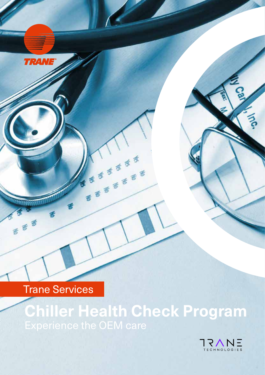Trane Services

**TRANE®** 

MANAHANTA

**368** 

# **Chiller Health Check Program** Experience the OEM care

くしょうき まきます

**12455668**<br>5656566

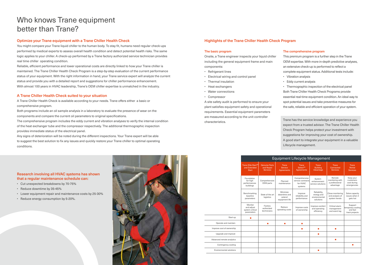# Optimize your Trane equipment with a Trane Chiller Health Check

You might compare your Trane liquid chiller to the human body. To stay fit, humans need regular check-ups performed by medical experts to assess overall health condition and detect potential health risks. The same logic applies to your chiller. A check-up performed by a Trane factory authorized service technician provides real time chiller operating condition.

Reliable, efficient performance and lower operational costs are directly linked to how your Trane chiller is maintained. The Trane Chiller Health Check Program is a step-by-step evaluation of the current performance status of your equipment. With the right information in hand, your Trane service expert will analyze the current status and provide you with a detailed report and suggestions for chiller performance enhancement. With almost 100 years in HVAC leadership, Trane's OEM chiller expertise is unmatched in the industry.

# A Trane Chiller Health Check suited to your situation

A Trane Chiller Health Check is available according to your needs. Trane offers either a basic or comprehensive program.

Both programs include an oil sample analysis in a laboratory to evaluate the presence of wear on the components and compare the current oil parameters to original specifications.

The comprehensive program includes the eddy current and vibration analyses to verify the internal condition of the heat exchanger tube and the compressor respectively. The additional thermographic inspection provides immediate status of the electrical panel.

Any signs of deterioration will be noted during the different inspections. Your Trane expert will be able to suggest the best solution to fix any issues and quickly restore your Trane chiller to optimal operating conditions.

#### The basic program

Onsite, a Trane engineer inspects your liquid chiller including the general equipment frame and main components:

- Refrigerant lines
- Electrical wiring and control panel
- Thermal insulation
- Heat exchangers
- Water connections
- Compressor

A site safety audit is performed to ensure your plant satisfies equipment safety and operational requirements. Essential equipment parameters are measured according to the unit controller characteristics.

|                                | <b>Equipment Lifecycle Management</b>                          |                                                       |                                                      |                                                           |                                                          |                                                          |                                                            |
|--------------------------------|----------------------------------------------------------------|-------------------------------------------------------|------------------------------------------------------|-----------------------------------------------------------|----------------------------------------------------------|----------------------------------------------------------|------------------------------------------------------------|
|                                | Trane Elite Start <sup>™</sup><br>and Extended<br><b>Start</b> | <b>Genuine Parts</b><br>and Repair<br><b>Services</b> | Trane<br>Service<br><b>Agreements</b>                | <b>Trane</b><br>Select™<br><b>Agreements</b>              | Trane<br><b>Building</b><br>Advantage                    | <b>Trane</b><br>Connected<br><b>Services</b>             | <b>Trane</b><br>Rental<br><b>Services</b>                  |
|                                | Foundation<br>for high<br>performances<br>buildings            | Comprehensive<br>OEM parts                            | Planned<br>maintenance                               | Comprehensive<br>service contracts<br>for HVAC<br>systems | System<br>enhancement<br>service solutions               | Remote<br>monitoring with<br>a professional<br>advantage | Keep your<br>customers<br>cool during<br>emergencies       |
|                                | Benchmarking<br>baseline<br>parameters                         | State of the art<br>logistics                         | Minimize<br>downtime and<br>extend<br>equipment life | Improve<br>reliability and<br>performance                 | Reliability,<br>energy and<br>environmental<br>solutions | Close monitoring<br>and analysis of<br>system trends     | Solve capacity<br>issues when it<br>gets hot               |
|                                | Monitor<br>and adjust<br>system critical<br>parameters         | Factory<br>authorized<br>technicians                  | Reduce<br>operating costs                            | Improve costs<br>of ownership                             | Improve comfort<br>and operating<br>efficiency           | Critical alarm<br>management<br>and event log            | Support<br>temporary cooling<br>and fast<br>track projects |
| Start-up                       | п                                                              |                                                       |                                                      |                                                           |                                                          |                                                          |                                                            |
| Operate and maintain           |                                                                | ■                                                     | п                                                    | п                                                         |                                                          |                                                          |                                                            |
| Improve cost of ownership      |                                                                |                                                       |                                                      | m.                                                        | п                                                        | п                                                        |                                                            |
| Upgrade and improve            |                                                                |                                                       |                                                      |                                                           | <b>COL</b>                                               |                                                          |                                                            |
| Advanced remote analytics      |                                                                |                                                       |                                                      |                                                           |                                                          | п                                                        |                                                            |
| Contingency cooling            |                                                                |                                                       |                                                      |                                                           |                                                          |                                                          | п                                                          |
| <b>Environmental solutions</b> |                                                                |                                                       |                                                      |                                                           | п                                                        |                                                          |                                                            |

#### The comprehensive program

This premium program is a further step in the Trane OEM expertise. With more in-depth predictive analyses, an extensive check-up is performed to reflect a complete equipment status. Additional tests include:

- Vibration analysis
- Eddy current analysis

• Thermographic inspection of the electrical panel Both Trane Chiller Health Check Programs provide essential real-time equipment condition. An ideal way to spot potential issues and take preventive measures for the safe, reliable and efficient operation of your system.

# Who knows Trane equipment better than Trane?

## Highlights of the Trane Chiller Health Check Program

Trane has the service knowledge and experience you expect from a trusted advisor. The Trane Chiller Health Check Program helps protect your investment with suggestions for improving your cost of ownership. A good start to integrate your equipment in a valuable Lifecycle management.

# Research involving all HVAC systems has shown that a regular maintenance schedule can:

- Cut unexpected breakdowns by 70-75%
- Reduce downtime by 35-45%
- Lower equipment repair and maintenance costs by 25-30%
- Reduce energy consumption by 5-20%.